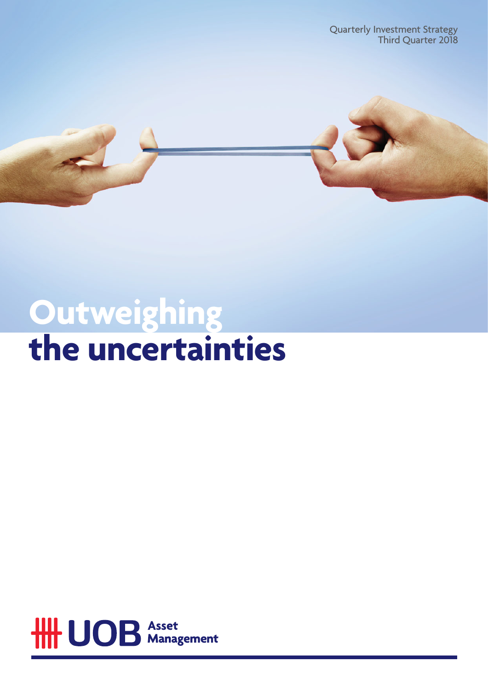Quarterly Investment Strategy Third Quarter 2018



# **Outweighing the uncertainties**

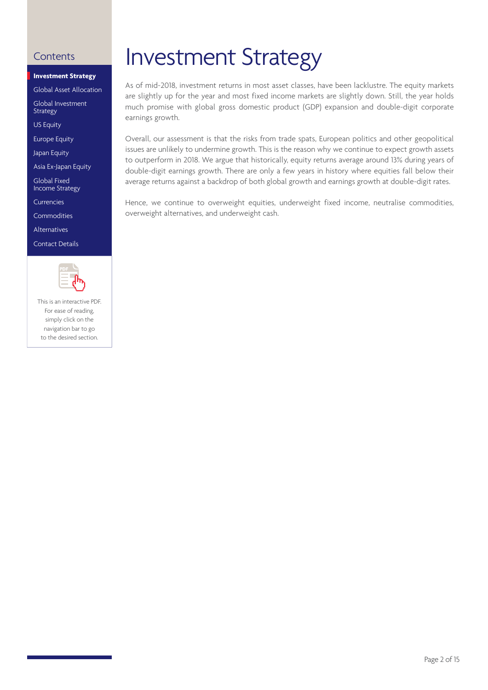### **Investment Strategy**

[Global Asset Allocation](#page-2-0) 

[Global Investment](#page-3-0) Strategy

[US Equity](#page-4-0)

[Europe Equity](#page-4-0)

[Japan Equity](#page-4-0)

[Asia Ex-Japan Equity](#page-5-0)

Global Fixed [Income Strategy](#page-7-0)

[Currencies](#page-10-0)

[Commodities](#page-11-0)

[Alternatives](#page-12-0)

[Contact Details](#page-13-0)



This is an interactive PDF. For ease of reading, simply click on the navigation bar to go to the desired section.

## <span id="page-1-0"></span>Contents **Investment Strategy**

As of mid-2018, investment returns in most asset classes, have been lacklustre. The equity markets are slightly up for the year and most fixed income markets are slightly down. Still, the year holds much promise with global gross domestic product (GDP) expansion and double-digit corporate earnings growth.

Overall, our assessment is that the risks from trade spats, European politics and other geopolitical issues are unlikely to undermine growth. This is the reason why we continue to expect growth assets to outperform in 2018. We argue that historically, equity returns average around 13% during years of double-digit earnings growth. There are only a few years in history where equities fall below their average returns against a backdrop of both global growth and earnings growth at double-digit rates.

Hence, we continue to overweight equities, underweight fixed income, neutralise commodities, overweight alternatives, and underweight cash.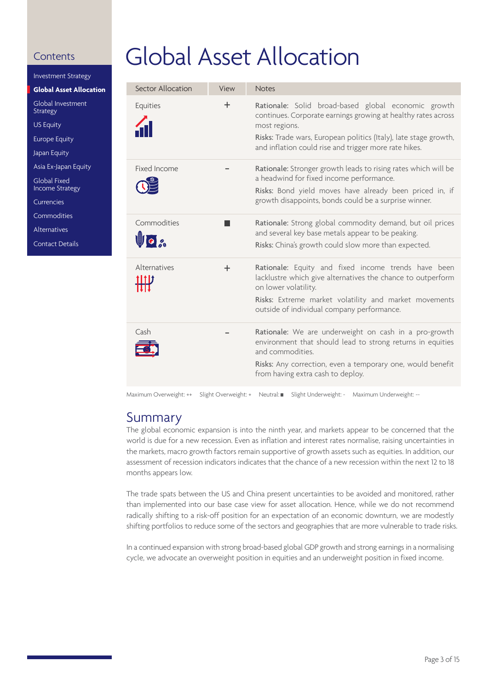<span id="page-2-0"></span>[Investment Strategy](#page-1-0)

**Global Asset Allocation**

[Global Investment](#page-3-0) Strategy

[US Equity](#page-4-0)

[Europe Equity](#page-4-0)

[Japan Equity](#page-4-0)

[Asia Ex-Japan Equity](#page-5-0)

Global Fixed [Income Strategy](#page-7-0)

[Currencies](#page-10-0)

[Commodities](#page-11-0)

[Alternatives](#page-12-0)

[Contact Details](#page-13-0)

# Global Asset Allocation

| Sector Allocation   | View  | <b>Notes</b>                                                                                                                                                                                                                                                       |
|---------------------|-------|--------------------------------------------------------------------------------------------------------------------------------------------------------------------------------------------------------------------------------------------------------------------|
| Equities            | $\pm$ | Rationale: Solid broad-based global economic growth<br>continues. Corporate earnings growing at healthy rates across<br>most regions.<br>Risks: Trade wars, European politics (Italy), late stage growth,<br>and inflation could rise and trigger more rate hikes. |
| Fixed Income        |       | Rationale: Stronger growth leads to rising rates which will be<br>a headwind for fixed income performance.<br>Risks: Bond yield moves have already been priced in, if<br>growth disappoints, bonds could be a surprise winner.                                     |
| Commodities<br>Uo a |       | Rationale: Strong global commodity demand, but oil prices<br>and several key base metals appear to be peaking.<br>Risks: China's growth could slow more than expected.                                                                                             |
| Alternatives        | $\pm$ | Rationale: Equity and fixed income trends have been<br>lacklustre which give alternatives the chance to outperform<br>on lower volatility.<br>Risks: Extreme market volatility and market movements<br>outside of individual company performance.                  |
| Cash                |       | Rationale: We are underweight on cash in a pro-growth<br>environment that should lead to strong returns in equities<br>and commodities.<br>Risks: Any correction, even a temporary one, would benefit<br>from having extra cash to deploy.                         |

Maximum Overweight: ++ Slight Overweight: + Neutral: Slight Underweight: - Maximum Underweight: --

## Summary

The global economic expansion is into the ninth year, and markets appear to be concerned that the world is due for a new recession. Even as inflation and interest rates normalise, raising uncertainties in the markets, macro growth factors remain supportive of growth assets such as equities. In addition, our assessment of recession indicators indicates that the chance of a new recession within the next 12 to 18 months appears low.

The trade spats between the US and China present uncertainties to be avoided and monitored, rather than implemented into our base case view for asset allocation. Hence, while we do not recommend radically shifting to a risk-off position for an expectation of an economic downturn, we are modestly shifting portfolios to reduce some of the sectors and geographies that are more vulnerable to trade risks.

In a continued expansion with strong broad-based global GDP growth and strong earnings in a normalising cycle, we advocate an overweight position in equities and an underweight position in fixed income.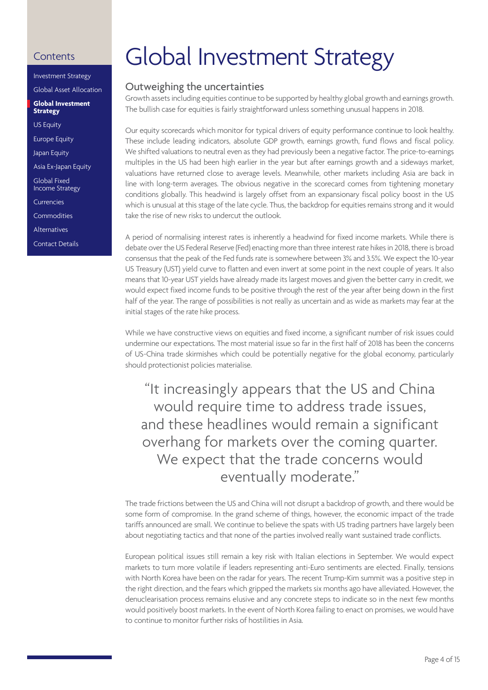```
Investment Strategy
Global Asset Allocation
```
**Global Investment Strategy**

[US Equity](#page-4-0)

[Europe Equity](#page-4-0)

[Japan Equity](#page-4-0)

[Asia Ex-Japan Equity](#page-5-0)

Global Fixed [Income Strategy](#page-7-0)

[Currencies](#page-10-0)

[Commodities](#page-11-0)

[Alternatives](#page-12-0)

[Contact Details](#page-13-0)

# <span id="page-3-0"></span>Contents Global Investment Strategy

### Outweighing the uncertainties

Growth assets including equities continue to be supported by healthy global growth and earnings growth. The bullish case for equities is fairly straightforward unless something unusual happens in 2018.

Our equity scorecards which monitor for typical drivers of equity performance continue to look healthy. These include leading indicators, absolute GDP growth, earnings growth, fund flows and fiscal policy. We shifted valuations to neutral even as they had previously been a negative factor. The price-to-earnings multiples in the US had been high earlier in the year but after earnings growth and a sideways market, valuations have returned close to average levels. Meanwhile, other markets including Asia are back in line with long-term averages. The obvious negative in the scorecard comes from tightening monetary conditions globally. This headwind is largely offset from an expansionary fiscal policy boost in the US which is unusual at this stage of the late cycle. Thus, the backdrop for equities remains strong and it would take the rise of new risks to undercut the outlook.

A period of normalising interest rates is inherently a headwind for fixed income markets. While there is debate over the US Federal Reserve (Fed) enacting more than three interest rate hikes in 2018, there is broad consensus that the peak of the Fed funds rate is somewhere between 3% and 3.5%. We expect the 10-year US Treasury (UST) yield curve to flatten and even invert at some point in the next couple of years. It also means that 10-year UST yields have already made its largest moves and given the better carry in credit, we would expect fixed income funds to be positive through the rest of the year after being down in the first half of the year. The range of possibilities is not really as uncertain and as wide as markets may fear at the initial stages of the rate hike process.

While we have constructive views on equities and fixed income, a significant number of risk issues could undermine our expectations. The most material issue so far in the first half of 2018 has been the concerns of US-China trade skirmishes which could be potentially negative for the global economy, particularly should protectionist policies materialise.

"It increasingly appears that the US and China would require time to address trade issues, and these headlines would remain a significant overhang for markets over the coming quarter. We expect that the trade concerns would eventually moderate."

The trade frictions between the US and China will not disrupt a backdrop of growth, and there would be some form of compromise. In the grand scheme of things, however, the economic impact of the trade tariffs announced are small. We continue to believe the spats with US trading partners have largely been about negotiating tactics and that none of the parties involved really want sustained trade conflicts.

European political issues still remain a key risk with Italian elections in September. We would expect markets to turn more volatile if leaders representing anti-Euro sentiments are elected. Finally, tensions with North Korea have been on the radar for years. The recent Trump-Kim summit was a positive step in the right direction, and the fears which gripped the markets six months ago have alleviated. However, the denuclearisation process remains elusive and any concrete steps to indicate so in the next few months would positively boost markets. In the event of North Korea failing to enact on promises, we would have to continue to monitor further risks of hostilities in Asia.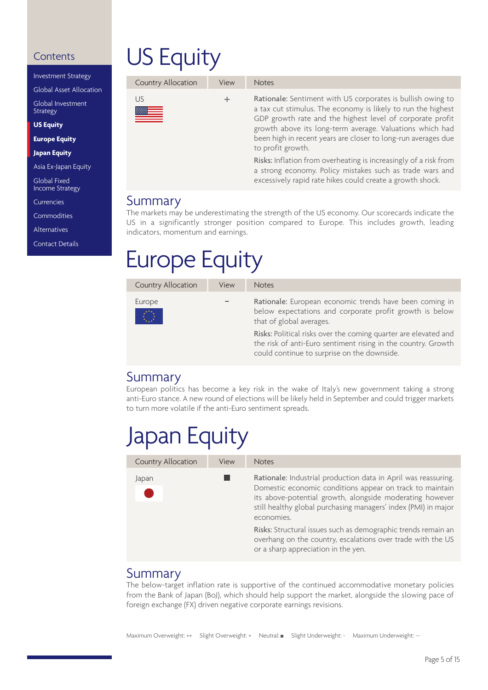<span id="page-4-0"></span>[Investment Strategy](#page-1-0)

[Global Asset Allocation](#page-2-0)

[Global Investment](#page-3-0) **Strategy** 

**US Equity**

**Europe Equity**

**Japan Equity**

[Asia Ex-Japan Equity](#page-5-0)

Global Fixed [Income Strategy](#page-7-0)

[Currencies](#page-10-0)

[Commodities](#page-11-0)

[Alternatives](#page-12-0)

[Contact Details](#page-13-0)

# US Equity

| Country Allocation | View | <b>Notes</b>                                                                                                                                                                                                                                                                                                                               |
|--------------------|------|--------------------------------------------------------------------------------------------------------------------------------------------------------------------------------------------------------------------------------------------------------------------------------------------------------------------------------------------|
| US                 | ÷    | Rationale: Sentiment with US corporates is bullish owing to<br>a tax cut stimulus. The economy is likely to run the highest<br>GDP growth rate and the highest level of corporate profit<br>growth above its long-term average. Valuations which had<br>been high in recent years are closer to long-run averages due<br>to profit growth. |
|                    |      | Risks: Inflation from overheating is increasingly of a risk from<br>a strong economy. Policy mistakes such as trade wars and                                                                                                                                                                                                               |

excessively rapid rate hikes could create a growth shock.

### Summary

The markets may be underestimating the strength of the US economy. Our scorecards indicate the US in a significantly stronger position compared to Europe. This includes growth, leading indicators, momentum and earnings.

# Europe Equity

| Country Allocation<br>View                                                                                | <b>Notes</b>                                                                                                                                                                                                                                                                                                                      |
|-----------------------------------------------------------------------------------------------------------|-----------------------------------------------------------------------------------------------------------------------------------------------------------------------------------------------------------------------------------------------------------------------------------------------------------------------------------|
| Europe<br>$\begin{pmatrix} \frac{1}{2} & 0 \\ 0 & \frac{1}{2} \\ \frac{1}{2} & \frac{1}{2} \end{pmatrix}$ | Rationale: European economic trends have been coming in<br>below expectations and corporate profit growth is below<br>that of global averages.<br>Risks: Political risks over the coming quarter are elevated and<br>the risk of anti-Euro sentiment rising in the country. Growth<br>could continue to surprise on the downside. |

### Summary

European politics has become a key risk in the wake of Italy's new government taking a strong anti-Euro stance. A new round of elections will be likely held in September and could trigger markets to turn more volatile if the anti-Euro sentiment spreads.

## Japan Equity

| Country Allocation | View | <b>Notes</b>                                                                                                                                                                                                                                                           |
|--------------------|------|------------------------------------------------------------------------------------------------------------------------------------------------------------------------------------------------------------------------------------------------------------------------|
| Japan              |      | Rationale: Industrial production data in April was reassuring.<br>Domestic economic conditions appear on track to maintain<br>its above-potential growth, alongside moderating however<br>still healthy global purchasing managers' index (PMI) in major<br>economies. |
|                    |      | Risks: Structural issues such as demographic trends remain an<br>overhang on the country, escalations over trade with the US<br>or a sharp appreciation in the yen.                                                                                                    |

### Summary

The below-target inflation rate is supportive of the continued accommodative monetary policies from the Bank of Japan (BoJ), which should help support the market, alongside the slowing pace of foreign exchange (FX) driven negative corporate earnings revisions.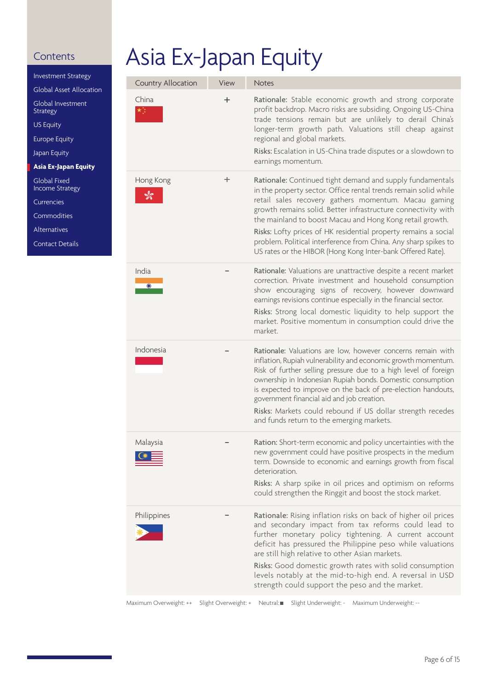<span id="page-5-0"></span>[Investment Strategy](#page-1-0) [Global Asset Allocation](#page-2-0) [Global Investment](#page-3-0) Strategy [US Equity](#page-4-0) [Europe Equity](#page-4-0)

[Japan Equity](#page-4-0)

**Asia Ex-Japan Equity**

Global Fixed [Income Strategy](#page-7-0)

[Currencies](#page-10-0)

[Commodities](#page-11-0)

[Alternatives](#page-12-0)

[Contact Details](#page-13-0)

# Asia Ex-Japan Equity

| Country Allocation | View     | <b>Notes</b>                                                                                                                                                                                                                                                                                                                                                                                                                                                                                                          |
|--------------------|----------|-----------------------------------------------------------------------------------------------------------------------------------------------------------------------------------------------------------------------------------------------------------------------------------------------------------------------------------------------------------------------------------------------------------------------------------------------------------------------------------------------------------------------|
| China              | $\,{}^+$ | Rationale: Stable economic growth and strong corporate<br>profit backdrop. Macro risks are subsiding. Ongoing US-China<br>trade tensions remain but are unlikely to derail China's<br>longer-term growth path. Valuations still cheap against<br>regional and global markets.<br>Risks: Escalation in US-China trade disputes or a slowdown to<br>earnings momentum.                                                                                                                                                  |
| Hong Kong<br>كالو  | ┿        | Rationale: Continued tight demand and supply fundamentals<br>in the property sector. Office rental trends remain solid while<br>retail sales recovery gathers momentum. Macau gaming<br>growth remains solid. Better infrastructure connectivity with<br>the mainland to boost Macau and Hong Kong retail growth.<br>Risks: Lofty prices of HK residential property remains a social<br>problem. Political interference from China. Any sharp spikes to<br>US rates or the HIBOR (Hong Kong Inter-bank Offered Rate). |
| India              |          | Rationale: Valuations are unattractive despite a recent market<br>correction. Private investment and household consumption<br>show encouraging signs of recovery, however downward<br>earnings revisions continue especially in the financial sector.<br>Risks: Strong local domestic liquidity to help support the<br>market. Positive momentum in consumption could drive the<br>market.                                                                                                                            |
| Indonesia          |          | Rationale: Valuations are low, however concerns remain with<br>inflation, Rupiah vulnerability and economic growth momentum.<br>Risk of further selling pressure due to a high level of foreign<br>ownership in Indonesian Rupiah bonds. Domestic consumption<br>is expected to improve on the back of pre-election handouts,<br>government financial aid and job creation.<br>Risks: Markets could rebound if US dollar strength recedes<br>and funds return to the emerging markets.                                |
| Malaysia           |          | Ration: Short-term economic and policy uncertainties with the<br>new government could have positive prospects in the medium<br>term. Downside to economic and earnings growth from fiscal<br>deterioration.<br>Risks: A sharp spike in oil prices and optimism on reforms<br>could strengthen the Ringgit and boost the stock market.                                                                                                                                                                                 |
| Philippines        |          | Rationale: Rising inflation risks on back of higher oil prices<br>and secondary impact from tax reforms could lead to<br>further monetary policy tightening. A current account<br>deficit has pressured the Philippine peso while valuations<br>are still high relative to other Asian markets.<br>Risks: Good domestic growth rates with solid consumption<br>levels notably at the mid-to-high end. A reversal in USD<br>strength could support the peso and the market.                                            |

Maximum Overweight: ++ Slight Overweight: + Neutral: Slight Underweight: - Maximum Underweight: --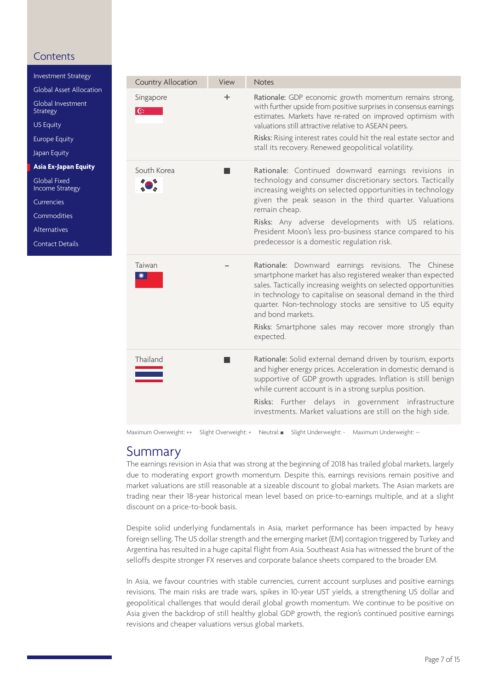<span id="page-6-0"></span>[Investment Strategy](#page-1-0)

[Global Asset Allocation](#page-2-0)

[Global Investment](#page-3-0) Strategy

[US Equity](#page-4-0)

[Europe Equity](#page-4-0)

[Japan Equity](#page-4-0)

**Asia Ex-Japan Equity**

Global Fixed [Income Strategy](#page-7-0)

[Currencies](#page-10-0)

[Commodities](#page-11-0)

[Alternatives](#page-12-0)

[Contact Details](#page-13-0)

| Country Allocation | View | <b>Notes</b>                                                                                                                                                                                                                                                                                                                                                                                                               |
|--------------------|------|----------------------------------------------------------------------------------------------------------------------------------------------------------------------------------------------------------------------------------------------------------------------------------------------------------------------------------------------------------------------------------------------------------------------------|
| Singapore<br>G.    | ÷    | Rationale: GDP economic growth momentum remains strong,<br>with further upside from positive surprises in consensus earnings<br>estimates. Markets have re-rated on improved optimism with<br>valuations still attractive relative to ASEAN peers.<br>Risks: Rising interest rates could hit the real estate sector and<br>stall its recovery. Renewed geopolitical volatility.                                            |
| South Korea        |      | Rationale: Continued downward earnings revisions in<br>technology and consumer discretionary sectors. Tactically<br>increasing weights on selected opportunities in technology<br>given the peak season in the third quarter. Valuations<br>remain cheap.<br>Risks: Any adverse developments with US relations.<br>President Moon's less pro-business stance compared to his<br>predecessor is a domestic regulation risk. |
| Taiwan             |      | Rationale: Downward earnings revisions. The Chinese<br>smartphone market has also registered weaker than expected<br>sales. Tactically increasing weights on selected opportunities<br>in technology to capitalise on seasonal demand in the third<br>quarter. Non-technology stocks are sensitive to US equity<br>and bond markets.<br>Risks: Smartphone sales may recover more strongly than<br>expected.                |
| Thailand           |      | Rationale: Solid external demand driven by tourism, exports<br>and higher energy prices. Acceleration in domestic demand is<br>supportive of GDP growth upgrades. Inflation is still benign<br>while current account is in a strong surplus position.<br>Risks: Further delays in government infrastructure<br>investments. Market valuations are still on the high side.                                                  |

Maximum Overweight: ++ Slight Overweight: + Neutral: Slight Underweight: - Maximum Underweight: --

### Summary

The earnings revision in Asia that was strong at the beginning of 2018 has trailed global markets, largely due to moderating export growth momentum. Despite this, earnings revisions remain positive and market valuations are still reasonable at a sizeable discount to global markets. The Asian markets are trading near their 18-year historical mean level based on price-to-earnings multiple, and at a slight discount on a price-to-book basis.

Despite solid underlying fundamentals in Asia, market performance has been impacted by heavy foreign selling. The US dollar strength and the emerging market (EM) contagion triggered by Turkey and Argentina has resulted in a huge capital flight from Asia. Southeast Asia has witnessed the brunt of the selloffs despite stronger FX reserves and corporate balance sheets compared to the broader EM.

In Asia, we favour countries with stable currencies, current account surpluses and positive earnings revisions. The main risks are trade wars, spikes in 10-year UST yields, a strengthening US dollar and geopolitical challenges that would derail global growth momentum. We continue to be positive on Asia given the backdrop of still healthy global GDP growth, the region's continued positive earnings revisions and cheaper valuations versus global markets.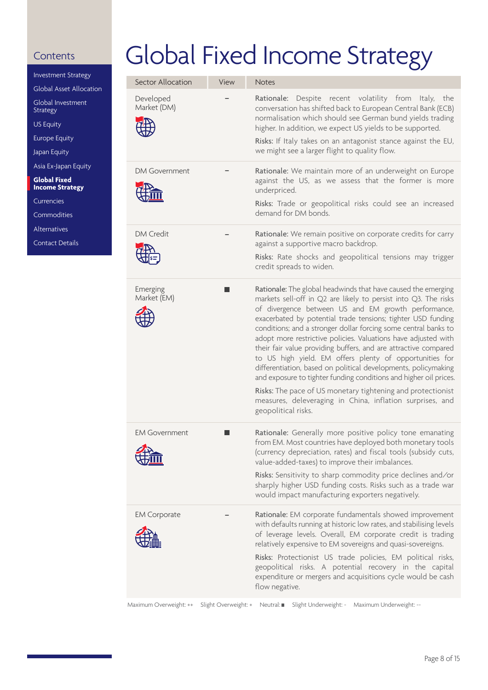<span id="page-7-0"></span>[Investment Strategy](#page-1-0)

[Global Asset Allocation](#page-2-0)

[Global Investment](#page-3-0) Strategy

[US Equity](#page-4-0)

[Europe Equity](#page-4-0)

[Japan Equity](#page-4-0)

[Asia Ex-Japan Equity](#page-5-0)

**Global Fixed Income Strategy**

[Currencies](#page-10-0)

**[Commodities](#page-11-0)** 

[Alternatives](#page-12-0)

[Contact Details](#page-13-0)

# Global Fixed Income Strategy

| Sector Allocation        | View | <b>Notes</b>                                                                                                                                                                                                                                                                                                                                                                                                                                                                                                                                                                                                                                                                                                                                                                                                         |
|--------------------------|------|----------------------------------------------------------------------------------------------------------------------------------------------------------------------------------------------------------------------------------------------------------------------------------------------------------------------------------------------------------------------------------------------------------------------------------------------------------------------------------------------------------------------------------------------------------------------------------------------------------------------------------------------------------------------------------------------------------------------------------------------------------------------------------------------------------------------|
| Developed<br>Market (DM) |      | Rationale: Despite recent volatility from Italy, the<br>conversation has shifted back to European Central Bank (ECB)<br>normalisation which should see German bund yields trading<br>higher. In addition, we expect US yields to be supported.<br>Risks: If Italy takes on an antagonist stance against the EU,<br>we might see a larger flight to quality flow.                                                                                                                                                                                                                                                                                                                                                                                                                                                     |
| <b>DM Government</b>     |      | Rationale: We maintain more of an underweight on Europe<br>against the US, as we assess that the former is more<br>underpriced.<br>Risks: Trade or geopolitical risks could see an increased<br>demand for DM bonds.                                                                                                                                                                                                                                                                                                                                                                                                                                                                                                                                                                                                 |
| <b>DM Credit</b>         |      | Rationale: We remain positive on corporate credits for carry<br>against a supportive macro backdrop.<br>Risks: Rate shocks and geopolitical tensions may trigger<br>credit spreads to widen.                                                                                                                                                                                                                                                                                                                                                                                                                                                                                                                                                                                                                         |
| Emerging<br>Market (EM)  |      | Rationale: The global headwinds that have caused the emerging<br>markets sell-off in Q2 are likely to persist into Q3. The risks<br>of divergence between US and EM growth performance,<br>exacerbated by potential trade tensions; tighter USD funding<br>conditions; and a stronger dollar forcing some central banks to<br>adopt more restrictive policies. Valuations have adjusted with<br>their fair value providing buffers, and are attractive compared<br>to US high yield. EM offers plenty of opportunities for<br>differentiation, based on political developments, policymaking<br>and exposure to tighter funding conditions and higher oil prices.<br>Risks: The pace of US monetary tightening and protectionist<br>measures, deleveraging in China, inflation surprises, and<br>geopolitical risks. |
| <b>EM Government</b>     |      | Rationale: Generally more positive policy tone emanating<br>from EM. Most countries have deployed both monetary tools<br>(currency depreciation, rates) and fiscal tools (subsidy cuts,<br>value-added-taxes) to improve their imbalances.<br>Risks: Sensitivity to sharp commodity price declines and/or<br>sharply higher USD funding costs. Risks such as a trade war                                                                                                                                                                                                                                                                                                                                                                                                                                             |
|                          |      | would impact manufacturing exporters negatively.                                                                                                                                                                                                                                                                                                                                                                                                                                                                                                                                                                                                                                                                                                                                                                     |
| <b>EM Corporate</b>      |      | Rationale: EM corporate fundamentals showed improvement<br>with defaults running at historic low rates, and stabilising levels<br>of leverage levels. Overall, EM corporate credit is trading<br>relatively expensive to EM sovereigns and quasi-sovereigns.<br>Risks: Protectionist US trade policies, EM political risks,<br>geopolitical risks. A potential recovery in the capital<br>expenditure or mergers and acquisitions cycle would be cash<br>flow negative.                                                                                                                                                                                                                                                                                                                                              |

Maximum Overweight: ++ Slight Overweight: + Neutral: Slight Underweight: - Maximum Underweight: --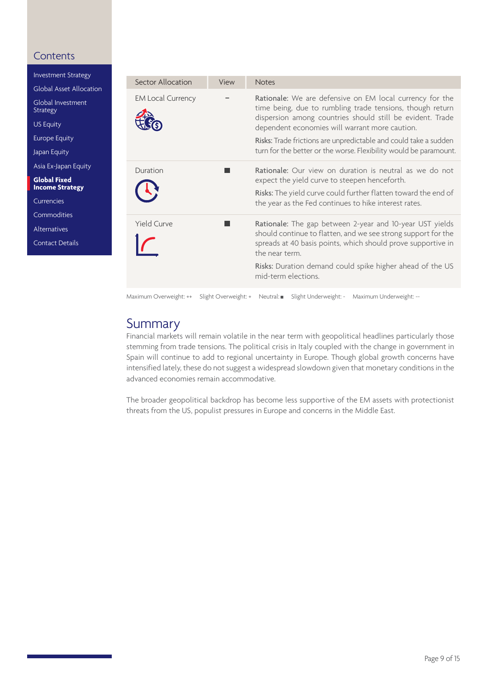<span id="page-8-0"></span>[Investment Strategy](#page-1-0) [Global Asset Allocation](#page-2-0) [Global Investment](#page-3-0) Strategy [US Equity](#page-4-0) [Europe Equity](#page-4-0) [Japan Equity](#page-4-0) [Asia Ex-Japan Equity](#page-6-0) **Global Fixed Income Strategy** [Currencies](#page-10-0)

[Commodities](#page-11-0)

[Alternatives](#page-12-0)

[Contact Details](#page-13-0)

| <b>Sector Allocation</b> | View | <b>Notes</b>                                                                                                                                                                                                                                                                                                                                                                  |
|--------------------------|------|-------------------------------------------------------------------------------------------------------------------------------------------------------------------------------------------------------------------------------------------------------------------------------------------------------------------------------------------------------------------------------|
| <b>EM Local Currency</b> |      | Rationale: We are defensive on EM local currency for the<br>time being, due to rumbling trade tensions, though return<br>dispersion among countries should still be evident. Trade<br>dependent economies will warrant more caution.<br>Risks: Trade frictions are unpredictable and could take a sudden<br>turn for the better or the worse. Flexibility would be paramount. |
| Duration                 |      | Rationale: Our view on duration is neutral as we do not<br>expect the yield curve to steepen henceforth.<br>Risks: The yield curve could further flatten toward the end of<br>the year as the Fed continues to hike interest rates.                                                                                                                                           |
| <b>Yield Curve</b>       |      | Rationale: The gap between 2-year and 10-year UST yields<br>should continue to flatten, and we see strong support for the<br>spreads at 40 basis points, which should prove supportive in<br>the near term.<br>Risks: Duration demand could spike higher ahead of the US<br>mid-term elections.                                                                               |

### Maximum Overweight: ++ Slight Overweight: + Neutral: Slight Underweight: - Maximum Underweight: --

### Summary

Financial markets will remain volatile in the near term with geopolitical headlines particularly those stemming from trade tensions. The political crisis in Italy coupled with the change in government in Spain will continue to add to regional uncertainty in Europe. Though global growth concerns have intensified lately, these do not suggest a widespread slowdown given that monetary conditions in the advanced economies remain accommodative.

The broader geopolitical backdrop has become less supportive of the EM assets with protectionist threats from the US, populist pressures in Europe and concerns in the Middle East.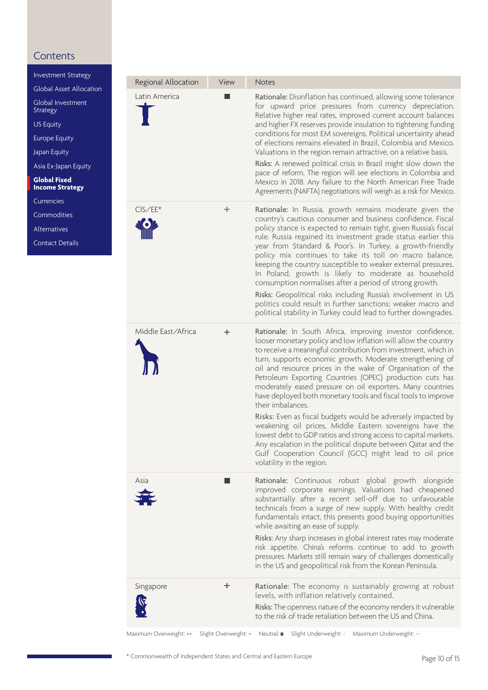[Investment Strategy](#page-1-0) [Global Asset Allocation](#page-2-0)

[Global Investment](#page-3-0)

**Strategy** [US Equity](#page-4-0)

[Europe Equity](#page-4-0)

[Japan Equity](#page-4-0)

[Asia Ex-Japan Equity](#page-5-0)

**Global Fixed Income Strategy**

[Currencies](#page-10-0)

[Commodities](#page-11-0)

[Alternatives](#page-12-0)

[Contact Details](#page-13-0)

| Regional Allocation | View  | <b>Notes</b>                                                                                                                                                                                                                                                                                                                                                                                                                                                                                                                                                                                                                                                                                                                                                                                                                                                                                      |
|---------------------|-------|---------------------------------------------------------------------------------------------------------------------------------------------------------------------------------------------------------------------------------------------------------------------------------------------------------------------------------------------------------------------------------------------------------------------------------------------------------------------------------------------------------------------------------------------------------------------------------------------------------------------------------------------------------------------------------------------------------------------------------------------------------------------------------------------------------------------------------------------------------------------------------------------------|
| Latin America       |       | Rationale: Disinflation has continued, allowing some tolerance<br>for upward price pressures from currency depreciation.<br>Relative higher real rates, improved current account balances<br>and higher FX reserves provide insulation to tightening funding<br>conditions for most EM sovereigns. Political uncertainty ahead<br>of elections remains elevated in Brazil, Colombia and Mexico.<br>Valuations in the region remain attractive, on a relative basis.<br>Risks: A renewed political crisis in Brazil might slow down the<br>pace of reform. The region will see elections in Colombia and<br>Mexico in 2018. Any failure to the North American Free Trade<br>Agreements (NAFTA) negotiations will weigh as a risk for Mexico.                                                                                                                                                       |
| $CIS/EE*$           | $\pm$ | Rationale: In Russia, growth remains moderate given the<br>country's cautious consumer and business confidence. Fiscal<br>policy stance is expected to remain tight, given Russia's fiscal<br>rule. Russia regained its investment grade status earlier this<br>year from Standard & Poor's. In Turkey, a growth-friendly<br>policy mix continues to take its toll on macro balance,<br>keeping the country susceptible to weaker external pressures.<br>In Poland, growth is likely to moderate as household<br>consumption normalises after a period of strong growth.<br>Risks: Geopolitical risks including Russia's involvement in US<br>politics could result in further sanctions; weaker macro and<br>political stability in Turkey could lead to further downgrades.                                                                                                                     |
| Middle East/Africa  | ÷.    | Rationale: In South Africa, improving investor confidence,<br>looser monetary policy and low inflation will allow the country<br>to receive a meaningful contribution from investment, which in<br>turn, supports economic growth. Moderate strengthening of<br>oil and resource prices in the wake of Organisation of the<br>Petroleum Exporting Countries (OPEC) production cuts has<br>moderately eased pressure on oil exporters. Many countries<br>have deployed both monetary tools and fiscal tools to improve<br>their imbalances.<br>Risks: Even as fiscal budgets would be adversely impacted by<br>weakening oil prices, Middle Eastern sovereigns have the<br>lowest debt to GDP ratios and strong access to capital markets.<br>Any escalation in the political dispute between Qatar and the<br>Gulf Cooperation Council (GCC) might lead to oil price<br>volatility in the region. |
| Asia                |       | Rationale: Continuous robust global growth alongside<br>improved corporate earnings. Valuations had cheapened<br>substantially after a recent sell-off due to unfavourable<br>technicals from a surge of new supply. With healthy credit<br>fundamentals intact, this presents good buying opportunities<br>while awaiting an ease of supply.<br>Risks: Any sharp increases in global interest rates may moderate<br>risk appetite. China's reforms continue to add to growth<br>pressures. Markets still remain wary of challenges domestically<br>in the US and geopolitical risk from the Korean Peninsula.                                                                                                                                                                                                                                                                                    |
| Singapore           | ÷.    | Rationale: The economy is sustainably growing at robust<br>levels, with inflation relatively contained.<br>Risks: The openness nature of the economy renders it vulnerable<br>to the risk of trade retaliation between the US and China.                                                                                                                                                                                                                                                                                                                                                                                                                                                                                                                                                                                                                                                          |
|                     |       | Maximum Overweight: ++ Slight Overweight: + Neutral: ■ Slight Underweight: - Maximum Underweight: --                                                                                                                                                                                                                                                                                                                                                                                                                                                                                                                                                                                                                                                                                                                                                                                              |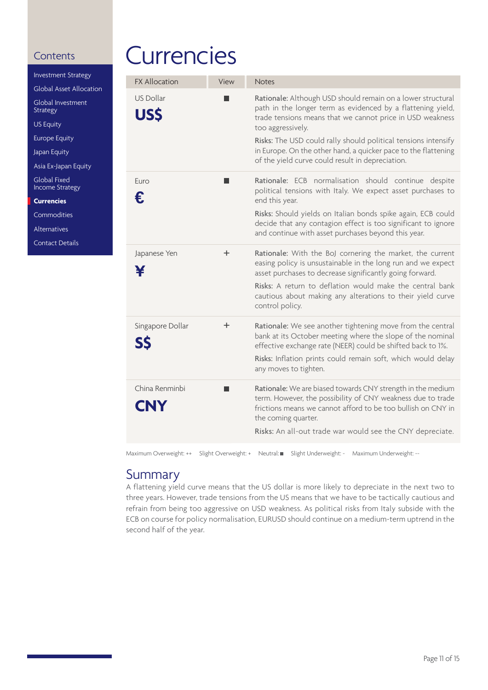[Alternatives](#page-12-0) [Contact Details](#page-13-0)

<span id="page-10-0"></span>

| <b>Investment Strategy</b>             |  |
|----------------------------------------|--|
| Global Asset Allocation                |  |
| Global Investment<br><b>Strategy</b>   |  |
| <b>US Equity</b>                       |  |
| <b>Europe Equity</b>                   |  |
| Japan Equity                           |  |
| Asia Ex-Japan Equity                   |  |
| Global Fixed<br><b>Income Strategy</b> |  |
| <b>Currencies</b>                      |  |
| Commodities                            |  |

# **Currencies**

| <b>FX Allocation</b>           | View | <b>Notes</b>                                                                                                                                                                                                                                                                     |
|--------------------------------|------|----------------------------------------------------------------------------------------------------------------------------------------------------------------------------------------------------------------------------------------------------------------------------------|
| <b>US Dollar</b><br><b>USS</b> |      | Rationale: Although USD should remain on a lower structural<br>path in the longer term as evidenced by a flattening yield,<br>trade tensions means that we cannot price in USD weakness<br>too aggressively.                                                                     |
|                                |      | Risks: The USD could rally should political tensions intensify<br>in Europe. On the other hand, a quicker pace to the flattening<br>of the yield curve could result in depreciation.                                                                                             |
| Euro<br>€                      |      | Rationale: ECB normalisation should continue despite<br>political tensions with Italy. We expect asset purchases to<br>end this year.                                                                                                                                            |
|                                |      | Risks: Should yields on Italian bonds spike again, ECB could<br>decide that any contagion effect is too significant to ignore<br>and continue with asset purchases beyond this year.                                                                                             |
| Japanese Yen                   | ÷    | Rationale: With the BoJ cornering the market, the current<br>easing policy is unsustainable in the long run and we expect<br>asset purchases to decrease significantly going forward.                                                                                            |
|                                |      | Risks: A return to deflation would make the central bank<br>cautious about making any alterations to their yield curve<br>control policy.                                                                                                                                        |
| Singapore Dollar<br>SS         | ÷    | Rationale: We see another tightening move from the central<br>bank at its October meeting where the slope of the nominal<br>effective exchange rate (NEER) could be shifted back to 1%.<br>Risks: Inflation prints could remain soft, which would delay<br>any moves to tighten. |
| China Renminbi<br><b>CNY</b>   |      | Rationale: We are biased towards CNY strength in the medium<br>term. However, the possibility of CNY weakness due to trade<br>frictions means we cannot afford to be too bullish on CNY in<br>the coming quarter.<br>Risks: An all-out trade war would see the CNY depreciate.   |
|                                |      |                                                                                                                                                                                                                                                                                  |

Maximum Overweight: ++ Slight Overweight: + Neutral: Slight Underweight: - Maximum Underweight: --

### Summary

A flattening yield curve means that the US dollar is more likely to depreciate in the next two to three years. However, trade tensions from the US means that we have to be tactically cautious and refrain from being too aggressive on USD weakness. As political risks from Italy subside with the ECB on course for policy normalisation, EURUSD should continue on a medium-term uptrend in the second half of the year.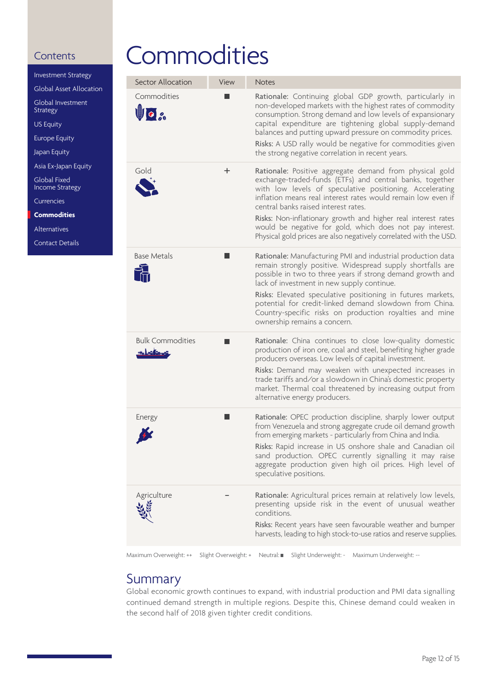<span id="page-11-0"></span>

| Investment Strategy                    |
|----------------------------------------|
| Global Asset Allocation                |
| Global Investment<br><b>Strategy</b>   |
| <b>US Equity</b>                       |
| <b>Europe Equity</b>                   |
| Japan Equity                           |
| Asia Ex-Japan Equity                   |
| Global Fixed<br><b>Income Strategy</b> |
| Currencies                             |
| <b>Commodities</b>                     |
| Alternatives                           |

[Contact Details](#page-13-0)

# **Commodities**

| Commodities<br>Rationale: Continuing global GDP growth, particularly in<br>non-developed markets with the highest rates of commodity<br>Uo a<br>consumption. Strong demand and low levels of expansionary<br>capital expenditure are tightening global supply-demand<br>balances and putting upward pressure on commodity prices.<br>Risks: A USD rally would be negative for commodities given<br>the strong negative correlation in recent years.<br>Gold<br>Rationale: Positive aggregate demand from physical gold<br>÷<br>exchange-traded-funds (ETFs) and central banks, together<br>with low levels of speculative positioning. Accelerating<br>inflation means real interest rates would remain low even if<br>central banks raised interest rates.<br>Risks: Non-inflationary growth and higher real interest rates<br>would be negative for gold, which does not pay interest.<br><b>Base Metals</b><br>Rationale: Manufacturing PMI and industrial production data<br>remain strongly positive. Widespread supply shortfalls are<br>possible in two to three years if strong demand growth and<br>lack of investment in new supply continue.<br>Risks: Elevated speculative positioning in futures markets,<br>potential for credit-linked demand slowdown from China.<br>Country-specific risks on production royalties and mine<br>ownership remains a concern.<br><b>Bulk Commodities</b><br>Rationale: China continues to close low-quality domestic<br>production of iron ore, coal and steel, benefiting higher grade<br><u>saksifas</u><br>producers overseas. Low levels of capital investment.<br>Risks: Demand may weaken with unexpected increases in<br>trade tariffs and/or a slowdown in China's domestic property<br>market. Thermal coal threatened by increasing output from<br>alternative energy producers.<br>Rationale: OPEC production discipline, sharply lower output<br>Energy<br>from Venezuela and strong aggregate crude oil demand growth<br>from emerging markets - particularly from China and India.<br>speculative positions.<br>Agriculture<br>Rationale: Agricultural prices remain at relatively low levels,<br>presenting upside risk in the event of unusual weather<br>conditions.<br>Risks: Recent years have seen favourable weather and bumper | Sector Allocation | View | <b>Notes</b>                                                                                                                                                                       |
|-----------------------------------------------------------------------------------------------------------------------------------------------------------------------------------------------------------------------------------------------------------------------------------------------------------------------------------------------------------------------------------------------------------------------------------------------------------------------------------------------------------------------------------------------------------------------------------------------------------------------------------------------------------------------------------------------------------------------------------------------------------------------------------------------------------------------------------------------------------------------------------------------------------------------------------------------------------------------------------------------------------------------------------------------------------------------------------------------------------------------------------------------------------------------------------------------------------------------------------------------------------------------------------------------------------------------------------------------------------------------------------------------------------------------------------------------------------------------------------------------------------------------------------------------------------------------------------------------------------------------------------------------------------------------------------------------------------------------------------------------------------------------------------------------------------------------------------------------------------------------------------------------------------------------------------------------------------------------------------------------------------------------------------------------------------------------------------------------------------------------------------------------------------------------------------------------------------------------------------------------------------------------------------------------------|-------------------|------|------------------------------------------------------------------------------------------------------------------------------------------------------------------------------------|
|                                                                                                                                                                                                                                                                                                                                                                                                                                                                                                                                                                                                                                                                                                                                                                                                                                                                                                                                                                                                                                                                                                                                                                                                                                                                                                                                                                                                                                                                                                                                                                                                                                                                                                                                                                                                                                                                                                                                                                                                                                                                                                                                                                                                                                                                                                     |                   |      |                                                                                                                                                                                    |
|                                                                                                                                                                                                                                                                                                                                                                                                                                                                                                                                                                                                                                                                                                                                                                                                                                                                                                                                                                                                                                                                                                                                                                                                                                                                                                                                                                                                                                                                                                                                                                                                                                                                                                                                                                                                                                                                                                                                                                                                                                                                                                                                                                                                                                                                                                     |                   |      | Physical gold prices are also negatively correlated with the USD.                                                                                                                  |
|                                                                                                                                                                                                                                                                                                                                                                                                                                                                                                                                                                                                                                                                                                                                                                                                                                                                                                                                                                                                                                                                                                                                                                                                                                                                                                                                                                                                                                                                                                                                                                                                                                                                                                                                                                                                                                                                                                                                                                                                                                                                                                                                                                                                                                                                                                     |                   |      |                                                                                                                                                                                    |
|                                                                                                                                                                                                                                                                                                                                                                                                                                                                                                                                                                                                                                                                                                                                                                                                                                                                                                                                                                                                                                                                                                                                                                                                                                                                                                                                                                                                                                                                                                                                                                                                                                                                                                                                                                                                                                                                                                                                                                                                                                                                                                                                                                                                                                                                                                     |                   |      |                                                                                                                                                                                    |
|                                                                                                                                                                                                                                                                                                                                                                                                                                                                                                                                                                                                                                                                                                                                                                                                                                                                                                                                                                                                                                                                                                                                                                                                                                                                                                                                                                                                                                                                                                                                                                                                                                                                                                                                                                                                                                                                                                                                                                                                                                                                                                                                                                                                                                                                                                     |                   |      | Risks: Rapid increase in US onshore shale and Canadian oil<br>sand production. OPEC currently signalling it may raise<br>aggregate production given high oil prices. High level of |
|                                                                                                                                                                                                                                                                                                                                                                                                                                                                                                                                                                                                                                                                                                                                                                                                                                                                                                                                                                                                                                                                                                                                                                                                                                                                                                                                                                                                                                                                                                                                                                                                                                                                                                                                                                                                                                                                                                                                                                                                                                                                                                                                                                                                                                                                                                     |                   |      | harvests, leading to high stock-to-use ratios and reserve supplies.                                                                                                                |

Maximum Overweight: ++ Slight Overweight: + Neutral: Slight Underweight: - Maximum Underweight: --

### Summary

Global economic growth continues to expand, with industrial production and PMI data signalling continued demand strength in multiple regions. Despite this, Chinese demand could weaken in the second half of 2018 given tighter credit conditions.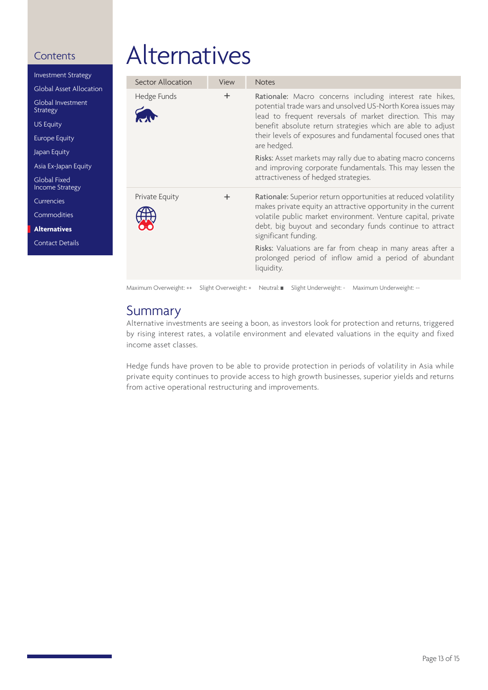<span id="page-12-0"></span>[Investment Strategy](#page-1-0) [Global Asset Allocation](#page-2-0) [Global Investment](#page-3-0) Strategy [US Equity](#page-4-0) [Europe Equity](#page-4-0) [Japan Equity](#page-4-0) [Asia Ex-Japan Equity](#page-6-0) Global Fixed [Income Strategy](#page-7-0) [Currencies](#page-10-0) [Commodities](#page-11-0) **Alternatives** [Contact Details](#page-13-0)

# Alternatives

| Sector Allocation | View | <b>Notes</b>                                                                                                                                                                                                                                                                                                                                                                                                            |  |
|-------------------|------|-------------------------------------------------------------------------------------------------------------------------------------------------------------------------------------------------------------------------------------------------------------------------------------------------------------------------------------------------------------------------------------------------------------------------|--|
| Hedge Funds       | ÷    | Rationale: Macro concerns including interest rate hikes,<br>potential trade wars and unsolved US-North Korea issues may<br>lead to frequent reversals of market direction. This may<br>benefit absolute return strategies which are able to adjust<br>their levels of exposures and fundamental focused ones that<br>are hedged.                                                                                        |  |
|                   |      | Risks: Asset markets may rally due to abating macro concerns<br>and improving corporate fundamentals. This may lessen the<br>attractiveness of hedged strategies.                                                                                                                                                                                                                                                       |  |
| Private Equity    | ÷    | Rationale: Superior return opportunities at reduced volatility<br>makes private equity an attractive opportunity in the current<br>volatile public market environment. Venture capital, private<br>debt, big buyout and secondary funds continue to attract<br>significant funding.<br>Risks: Valuations are far from cheap in many areas after a<br>prolonged period of inflow amid a period of abundant<br>liquidity. |  |
|                   |      |                                                                                                                                                                                                                                                                                                                                                                                                                         |  |

### Maximum Overweight: ++ Slight Overweight: + Neutral: Slight Underweight: - Maximum Underweight: --

### Summary

Alternative investments are seeing a boon, as investors look for protection and returns, triggered by rising interest rates, a volatile environment and elevated valuations in the equity and fixed income asset classes.

Hedge funds have proven to be able to provide protection in periods of volatility in Asia while private equity continues to provide access to high growth businesses, superior yields and returns from active operational restructuring and improvements.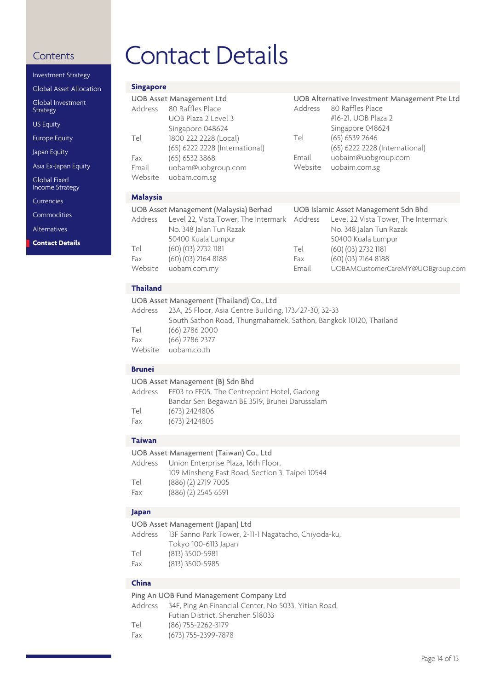| <b>Investment Strategy</b>                    |                  |
|-----------------------------------------------|------------------|
| <b>Global Asset Allocation</b>                | Sin              |
| Global Investment<br>Strategy                 | UC<br>Ad         |
| <b>US Equity</b>                              |                  |
| <b>Europe Equity</b>                          | Tel              |
| Japan Equity                                  | Fax              |
| Asia Ex-Japan Equity                          | Em               |
| <b>Global Fixed</b><br><b>Income Strategy</b> | We               |
| Currencies                                    | Ma               |
| Commodities                                   | UC<br>Ad         |
| Alternatives                                  |                  |
| <b>Contact Details</b>                        |                  |
|                                               | Tel<br>Fax<br>We |
|                                               | Tha              |
|                                               | UC<br>Ad         |
|                                               | Tel<br>Fax<br>We |
|                                               | Brı              |

# <span id="page-13-0"></span>Contents Contact Details

| <b>Singapore</b>                                                                                                                                                                                                                                             |                                                                                                                                                                                |                     |                                                                                                                              |  |  |
|--------------------------------------------------------------------------------------------------------------------------------------------------------------------------------------------------------------------------------------------------------------|--------------------------------------------------------------------------------------------------------------------------------------------------------------------------------|---------------------|------------------------------------------------------------------------------------------------------------------------------|--|--|
| Address                                                                                                                                                                                                                                                      | <b>UOB Asset Management Ltd</b><br>80 Raffles Place<br>UOB Plaza 2 Level 3<br>Singapore 048624                                                                                 | Address             | UOB Alternative Investment Management Pte Ltd<br>80 Raffles Place<br>#16-21, UOB Plaza 2<br>Singapore 048624                 |  |  |
| Tel                                                                                                                                                                                                                                                          | 1800 222 2228 (Local)<br>(65) 6222 2228 (International)                                                                                                                        | Tel                 | $(65)$ 6539 2646<br>(65) 6222 2228 (International)                                                                           |  |  |
| Fax<br>Email<br>Website                                                                                                                                                                                                                                      | $(65)$ 6532 3868<br>uobam@uobgroup.com<br>uobam.com.sg                                                                                                                         | Email<br>Website    | uobaim@uobgroup.com<br>uobaim.com.sg                                                                                         |  |  |
| <b>Malaysia</b>                                                                                                                                                                                                                                              |                                                                                                                                                                                |                     |                                                                                                                              |  |  |
| Address                                                                                                                                                                                                                                                      | UOB Asset Management (Malaysia) Berhad<br>Level 22, Vista Tower, The Intermark<br>No. 348 Jalan Tun Razak<br>50400 Kuala Lumpur                                                | Address             | UOB Islamic Asset Management Sdn Bhd<br>Level 22 Vista Tower, The Intermark<br>No. 348 Jalan Tun Razak<br>50400 Kuala Lumpur |  |  |
| Tel<br>Fax<br>Website                                                                                                                                                                                                                                        | (60) (03) 2732 1181<br>(60) (03) 2164 8188<br>uobam.com.my                                                                                                                     | Tel<br>Fax<br>Email | (60) (03) 2732 1181<br>(60) (03) 2164 8188<br>UOBAMCustomerCareMY@UOBgroup.com                                               |  |  |
| <b>Thailand</b>                                                                                                                                                                                                                                              |                                                                                                                                                                                |                     |                                                                                                                              |  |  |
| UOB Asset Management (Thailand) Co., Ltd<br>Address<br>23A, 25 Floor, Asia Centre Building, 173/27-30, 32-33<br>South Sathon Road, Thungmahamek, Sathon, Bangkok 10120, Thailand<br>(66) 2786 2000<br>Tel<br>Fax<br>(66) 2786 2377<br>Website<br>uobam.co.th |                                                                                                                                                                                |                     |                                                                                                                              |  |  |
| <b>Brunei</b>                                                                                                                                                                                                                                                |                                                                                                                                                                                |                     |                                                                                                                              |  |  |
| UOB Asset Management (B) Sdn Bhd<br>Address<br>FF03 to FF05, The Centrepoint Hotel, Gadong<br>Bandar Seri Begawan BE 3519, Brunei Darussalam<br>Tel<br>(673) 2424806<br>Fax<br>(673) 2424805                                                                 |                                                                                                                                                                                |                     |                                                                                                                              |  |  |
| <b>Taiwan</b>                                                                                                                                                                                                                                                |                                                                                                                                                                                |                     |                                                                                                                              |  |  |
| Address<br>Tel<br>Fax                                                                                                                                                                                                                                        | UOB Asset Management (Taiwan) Co., Ltd<br>Union Enterprise Plaza, 16th Floor,<br>109 Minsheng East Road, Section 3, Taipei 10544<br>(886) (2) 2719 7005<br>(886) (2) 2545 6591 |                     |                                                                                                                              |  |  |
| Japan                                                                                                                                                                                                                                                        |                                                                                                                                                                                |                     |                                                                                                                              |  |  |
| Address<br>Tel<br>Fax                                                                                                                                                                                                                                        | UOB Asset Management (Japan) Ltd<br>13F Sanno Park Tower, 2-11-1 Nagatacho, Chiyoda-ku,<br>Tokyo 100-6113 Japan<br>(813) 3500-5981<br>(813) 3500-5985                          |                     |                                                                                                                              |  |  |
| China                                                                                                                                                                                                                                                        | Ping An UOB Fund Management Company Ltd                                                                                                                                        |                     |                                                                                                                              |  |  |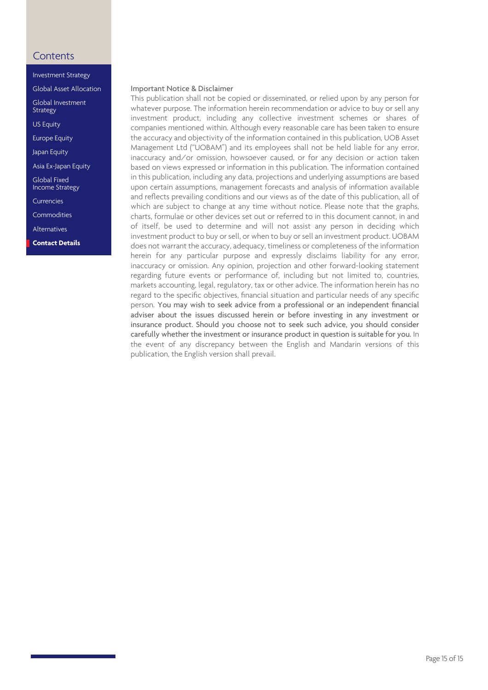[Investment Strategy](#page-1-0)

[Global Asset Allocation](#page-2-0)

[Global Investment](#page-3-0) **Strategy** 

[US Equity](#page-4-0)

[Europe Equity](#page-4-0)

[Japan Equity](#page-4-0)

[Asia Ex-Japan Equity](#page-5-0)

Global Fixed [Income Strategy](#page-7-0)

[Currencies](#page-10-0)

[Commodities](#page-11-0)

[Alternatives](#page-12-0)

**Contact Details**

### Important Notice & Disclaimer

This publication shall not be copied or disseminated, or relied upon by any person for whatever purpose. The information herein recommendation or advice to buy or sell any investment product, including any collective investment schemes or shares of companies mentioned within. Although every reasonable care has been taken to ensure the accuracy and objectivity of the information contained in this publication, UOB Asset Management Ltd ("UOBAM") and its employees shall not be held liable for any error, inaccuracy and/or omission, howsoever caused, or for any decision or action taken based on views expressed or information in this publication. The information contained in this publication, including any data, projections and underlying assumptions are based upon certain assumptions, management forecasts and analysis of information available and reflects prevailing conditions and our views as of the date of this publication, all of which are subject to change at any time without notice. Please note that the graphs, charts, formulae or other devices set out or referred to in this document cannot, in and of itself, be used to determine and will not assist any person in deciding which investment product to buy or sell, or when to buy or sell an investment product. UOBAM does not warrant the accuracy, adequacy, timeliness or completeness of the information herein for any particular purpose and expressly disclaims liability for any error, inaccuracy or omission. Any opinion, projection and other forward-looking statement regarding future events or performance of, including but not limited to, countries, markets accounting, legal, regulatory, tax or other advice. The information herein has no regard to the specific objectives, financial situation and particular needs of any specific person. You may wish to seek advice from a professional or an independent financial adviser about the issues discussed herein or before investing in any investment or insurance product. Should you choose not to seek such advice, you should consider carefully whether the investment or insurance product in question is suitable for you. In the event of any discrepancy between the English and Mandarin versions of this publication, the English version shall prevail.